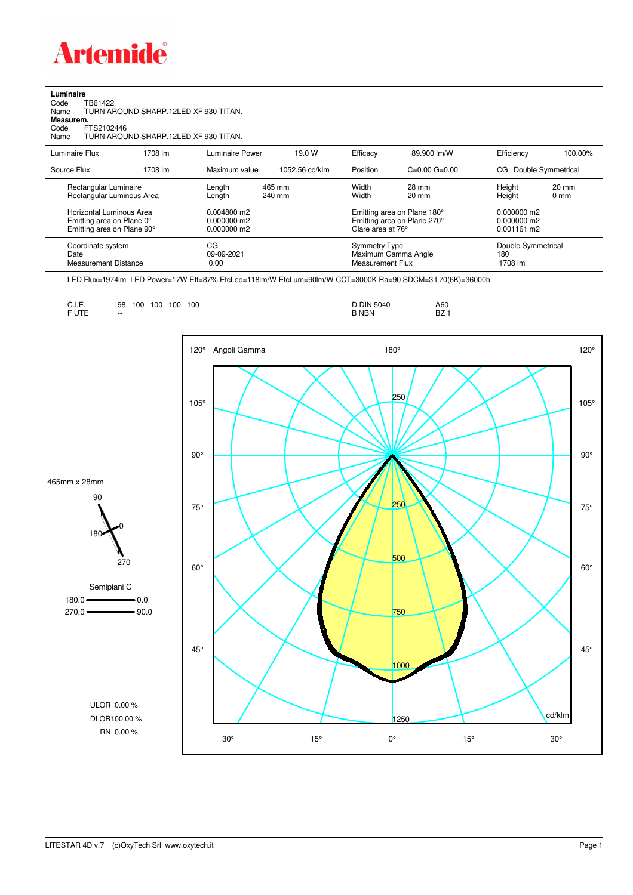

| Luminaire |  |
|-----------|--|
|           |  |

Code TB61422 Name TURN AROUND SHARP.12LED XF 930 TITAN.

**Measurem.** Code FTS2102446

Name TURN AROUND SHARP.12LED XF 930 TITAN.

| Luminaire Flux                                                                      | 1708 lm | Luminaire Power                                 | 19.0 W           | Efficacy                                 | 89.900 lm/W                                                | Efficiency                                      | 100.00%                           |
|-------------------------------------------------------------------------------------|---------|-------------------------------------------------|------------------|------------------------------------------|------------------------------------------------------------|-------------------------------------------------|-----------------------------------|
| Source Flux                                                                         | 1708 lm | Maximum value                                   | 1052.56 cd/klm   | Position                                 | $C=0.00$ $G=0.00$                                          | CG.                                             | Double Symmetrical                |
| Rectangular Luminaire<br>Rectangular Luminous Area                                  |         | Length<br>Length                                | 465 mm<br>240 mm | Width<br>Width                           | 28 mm<br>$20 \text{ mm}$                                   | Height<br>Height                                | $20 \text{ mm}$<br>$0 \text{ mm}$ |
| Horizontal Luminous Area<br>Emitting area on Plane 0°<br>Emitting area on Plane 90° |         | $0.004800$ m2<br>$0.000000$ m2<br>$0.000000$ m2 |                  | Glare area at 76°                        | Emitting area on Plane 180°<br>Emitting area on Plane 270° | $0.000000$ m2<br>$0.000000$ m2<br>$0.001161$ m2 |                                   |
| Coordinate system<br>Date<br>Measurement Distance                                   |         | CG<br>09-09-2021<br>0.00                        |                  | <b>Symmetry Type</b><br>Measurement Flux | Maximum Gamma Angle                                        | Double Symmetrical<br>180<br>1708 lm            |                                   |

LED Flux=1974lm LED Power=17W Eff=87% EfcLed=118lm/W EfcLum=90lm/W CCT=3000K Ra=90 SDCM=3 L70(6K)=36000h